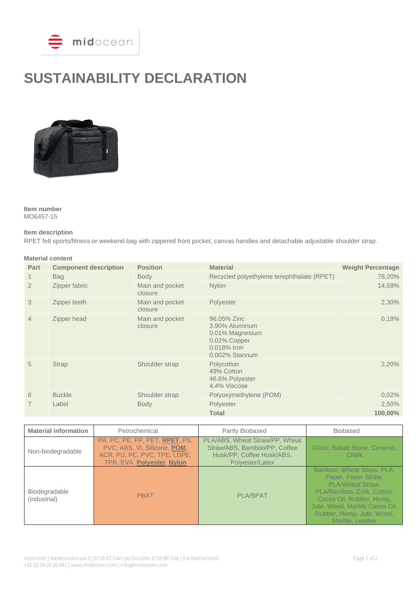

# **SUSTAINABILITY DECLARATION**



**Item number** MO6457-15

#### **Item description**

RPET felt sports/fitness or weekend bag with zippered front pocket, canvas handles and detachable adjustable shoulder strap.

| <b>Material content</b> |                              |                            |                                                                                                   |                          |  |
|-------------------------|------------------------------|----------------------------|---------------------------------------------------------------------------------------------------|--------------------------|--|
| Part                    | <b>Component description</b> | <b>Position</b>            | <b>Material</b>                                                                                   | <b>Weight Percentage</b> |  |
|                         | <b>Bag</b>                   | <b>Body</b>                | Recycled polyethylene terephthalate (RPET)                                                        | 78,20%                   |  |
| $\overline{2}$          | Zipper fabric                | Main and pocket<br>closure | Nylon                                                                                             | 14,59%                   |  |
| 3                       | Zipper teeth                 | Main and pocket<br>closure | Polyester                                                                                         | 2,30%                    |  |
| $\overline{4}$          | Zipper head                  | Main and pocket<br>closure | 96.05% Zinc<br>3.90% Aluminum<br>0.01% Magnesium<br>0.02% Copper<br>0.018% Iron<br>0.002% Stannum | 0,19%                    |  |
| 5                       | <b>Strap</b>                 | Shoulder strap             | Polycotton<br>49% Cotton<br>46.6% Polyester<br>4.4% Viscose                                       | 2,20%                    |  |
| 6                       | <b>Buckle</b>                | Shoulder strap             | Polyoxymethylene (POM)                                                                            | 0,02%                    |  |
|                         | Label                        | <b>Body</b>                | Polyester                                                                                         | 2,50%                    |  |
|                         |                              |                            | <b>Total</b>                                                                                      | 100,00%                  |  |

| <b>Material information</b>   | Petrochemical                                                                                                                | Partly Biobased                                                                                                | <b>Biobased</b>                                                                                                                                                                                                |
|-------------------------------|------------------------------------------------------------------------------------------------------------------------------|----------------------------------------------------------------------------------------------------------------|----------------------------------------------------------------------------------------------------------------------------------------------------------------------------------------------------------------|
| Non-biodegradable             | PA, PC, PE, PP, PET, RPET, PS,<br>PVC, ABS, VI, Silicone, POM,<br>ACR, PU, PC, PVC, TPE, LDPE,<br>TPR, EVA, Polyester, Nylon | PLA/ABS, Wheat Straw/PP, Wheat<br>Straw/ABS, Bamboo/PP, Coffee<br>Husk/PP, Coffee Husk/ABS,<br>Polyester/Latex | Glass, Basalt Stone, Ceramic,<br>Chalk                                                                                                                                                                         |
| Biodegradable<br>(industrial) | <b>PBAT</b>                                                                                                                  | <b>PLA/BPAT</b>                                                                                                | Bamboo, Wheat Straw, PLA,<br>Paper, Paper Straw,<br>PLA/Wheat Straw,<br>PLA/Bamboo, Cork, Cotton,<br>Cocos Oil, Rubber, Hemp,<br>Jute, Wood, Marble Cocos Oil,<br>Rubber, Hemp, Jute, Wood,<br>Marble, Leather |